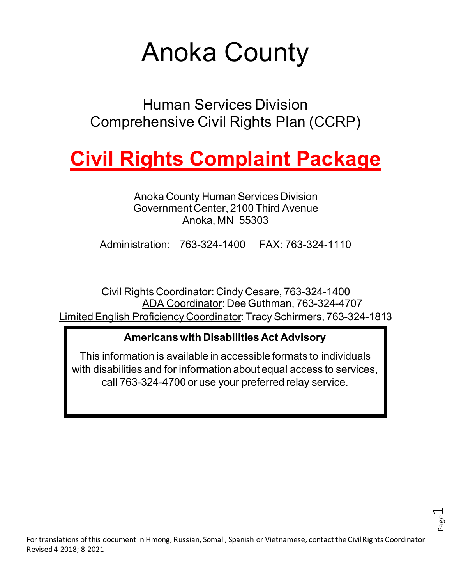# Anoka County

Human Services Division Comprehensive Civil Rights Plan (CCRP)

# **Civil Rights Complaint Package**

Anoka County Human Services Division Government Center, 2100 Third Avenue Anoka, MN 55303

Administration: 763-324-1400 FAX: 763-324-1110

Civil Rights Coordinator: Cindy Cesare, 763-324-1400 ADA Coordinator: Dee Guthman, 763-324-4707 Limited English Proficiency Coordinator: Tracy Schirmers, 763-324-1813

### **Americans with Disabilities Act Advisory**

This information is available in accessible formats to individuals with disabilities and for information about equal access to services, call 763-324-4700 or use your preferred relay service.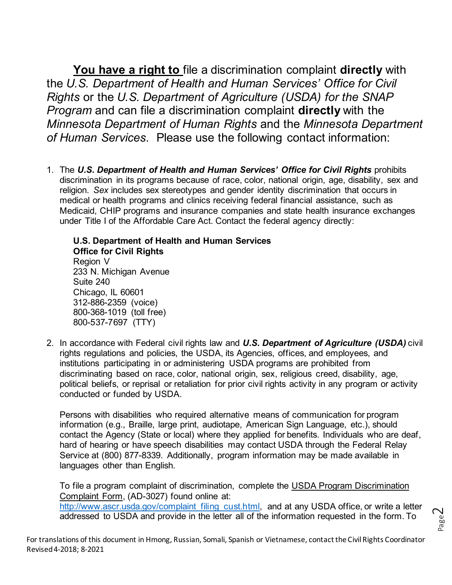**You have a right to** file a discrimination complaint **directly** with the *U.S. Department of Health and Human Services' Office for Civil Rights* or the *U.S. Department of Agriculture (USDA) for the SNAP Program* and can file a discrimination complaint **directly** with the *Minnesota Department of Human Rights* and the *Minnesota Department of Human Services*. Please use the following contact information:

1. The *U.S. Department of Health and Human Services' Office for Civil Rights* prohibits discrimination in its programs because of race, color, national origin, age, disability, sex and religion. *Sex* includes sex stereotypes and gender identity discrimination that occurs in medical or health programs and clinics receiving federal financial assistance, such as Medicaid, CHIP programs and insurance companies and state health insurance exchanges under Title I of the Affordable Care Act. Contact the federal agency directly:

**U.S. Department of Health and Human Services Office for Civil Rights** Region V 233 N. Michigan Avenue Suite 240 Chicago, IL 60601 312-886-2359 (voice) 800-368-1019 (toll free) 800-537-7697 (TTY)

2. In accordance with Federal civil rights law and *U.S. Department of Agriculture (USDA)* civil rights regulations and policies, the USDA, its Agencies, offices, and employees, and institutions participating in or administering USDA programs are prohibited from discriminating based on race, color, national origin, sex, religious creed, disability, age, political beliefs, or reprisal or retaliation for prior civil rights activity in any program or activity conducted or funded by USDA.

Persons with disabilities who required alternative means of communication for program information (e.g., Braille, large print, audiotape, American Sign Language, etc.), should contact the Agency (State or local) where they applied for benefits. Individuals who are deaf, hard of hearing or have speech disabilities may contact USDA through the Federal Relay Service at (800) 877-8339. Additionally, program information may be made available in languages other than English.

To file a program complaint of discrimination, complete the USDA Program Discrimination Complaint Form, (AD-3027) found online at: [http://www.ascr.usda.gov/complaint\\_filing\\_cust.html,](http://www.ascr.usda.gov/complaint_filing_cust.html) and at any USDA office, or write a letter addressed to USDA and provide in the letter all of the information requested in the form. To

Page  $\mathrel{\sim}$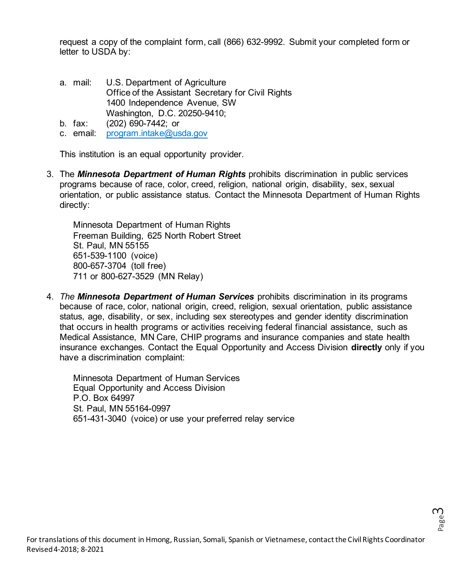request a copy of the complaint form, call (866) 632-9992. Submit your completed form or letter to USDA by:

- a. mail: U.S. Department of Agriculture Office of the Assistant Secretary for Civil Rights 1400 Independence Avenue, SW Washington, D.C. 20250-9410;
- b. fax: (202) 690-7442; or
- c. email: [program.intake@usda.gov](mailto:program.intake@usda.gov)

This institution is an equal opportunity provider.

3. The *Minnesota Department of Human Rights* prohibits discrimination in public services programs because of race, color, creed, religion, national origin, disability, sex, sexual orientation, or public assistance status. Contact the Minnesota Department of Human Rights directly:

Minnesota Department of Human Rights Freeman Building, 625 North Robert Street St. Paul, MN 55155 651-539-1100 (voice) 800-657-3704 (toll free) 711 or 800-627-3529 (MN Relay)

4. *The Minnesota Department of Human Services* prohibits discrimination in its programs because of race, color, national origin, creed, religion, sexual orientation, public assistance status, age, disability, or sex, including sex stereotypes and gender identity discrimination that occurs in health programs or activities receiving federal financial assistance, such as Medical Assistance, MN Care, CHIP programs and insurance companies and state health insurance exchanges. Contact the Equal Opportunity and Access Division **directly** only if you have a discrimination complaint:

Minnesota Department of Human Services Equal Opportunity and Access Division P.O. Box 64997 St. Paul, MN 55164-0997 651-431-3040 (voice) or use your preferred relay service

Page ന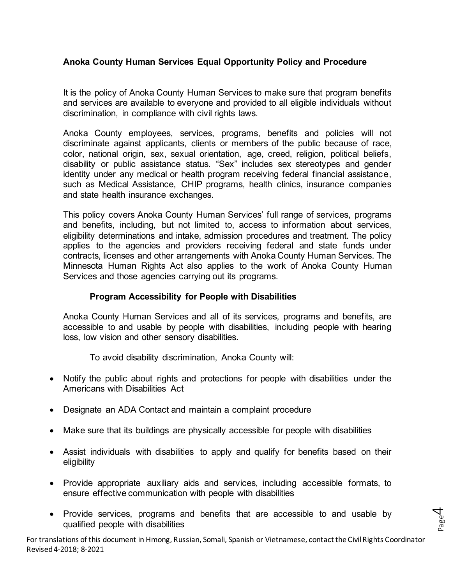#### **Anoka County Human Services Equal Opportunity Policy and Procedure**

It is the policy of Anoka County Human Services to make sure that program benefits and services are available to everyone and provided to all eligible individuals without discrimination, in compliance with civil rights laws.

Anoka County employees, services, programs, benefits and policies will not discriminate against applicants, clients or members of the public because of race, color, national origin, sex, sexual orientation, age, creed, religion, political beliefs, disability or public assistance status. "Sex" includes sex stereotypes and gender identity under any medical or health program receiving federal financial assistance, such as Medical Assistance, CHIP programs, health clinics, insurance companies and state health insurance exchanges.

This policy covers Anoka County Human Services' full range of services, programs and benefits, including, but not limited to, access to information about services, eligibility determinations and intake, admission procedures and treatment. The policy applies to the agencies and providers receiving federal and state funds under contracts, licenses and other arrangements with Anoka County Human Services. The Minnesota Human Rights Act also applies to the work of Anoka County Human Services and those agencies carrying out its programs.

#### **Program Accessibility for People with Disabilities**

Anoka County Human Services and all of its services, programs and benefits, are accessible to and usable by people with disabilities, including people with hearing loss, low vision and other sensory disabilities.

To avoid disability discrimination, Anoka County will:

- Notify the public about rights and protections for people with disabilities under the Americans with Disabilities Act
- Designate an ADA Contact and maintain a complaint procedure
- Make sure that its buildings are physically accessible for people with disabilities
- Assist individuals with disabilities to apply and qualify for benefits based on their eligibility
- Provide appropriate auxiliary aids and services, including accessible formats, to ensure effective communication with people with disabilities
- Provide services, programs and benefits that are accessible to and usable by qualified people with disabilities

For translations of this document in Hmong, Russian, Somali, Spanish or Vietnamese, contact the Civil Rights Coordinator Revised 4-2018; 8-2021

Page 4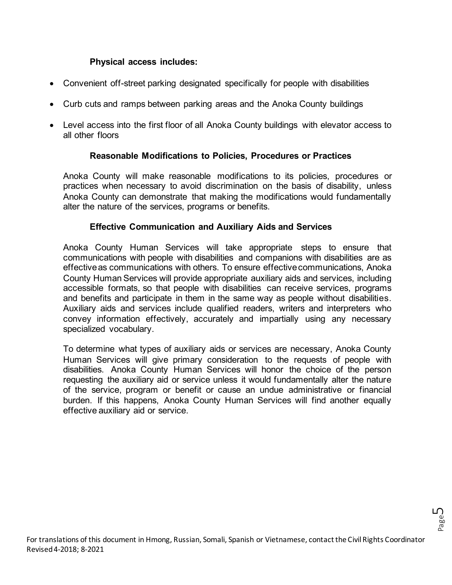#### **Physical access includes:**

- Convenient off-street parking designated specifically for people with disabilities
- Curb cuts and ramps between parking areas and the Anoka County buildings
- Level access into the first floor of all Anoka County buildings with elevator access to all other floors

#### **Reasonable Modifications to Policies, Procedures or Practices**

Anoka County will make reasonable modifications to its policies, procedures or practices when necessary to avoid discrimination on the basis of disability, unless Anoka County can demonstrate that making the modifications would fundamentally alter the nature of the services, programs or benefits.

#### **Effective Communication and Auxiliary Aids and Services**

Anoka County Human Services will take appropriate steps to ensure that communications with people with disabilities and companions with disabilities are as effective as communications with others. To ensure effective communications, Anoka County Human Services will provide appropriate auxiliary aids and services, including accessible formats, so that people with disabilities can receive services, programs and benefits and participate in them in the same way as people without disabilities. Auxiliary aids and services include qualified readers, writers and interpreters who convey information effectively, accurately and impartially using any necessary specialized vocabulary.

To determine what types of auxiliary aids or services are necessary, Anoka County Human Services will give primary consideration to the requests of people with disabilities. Anoka County Human Services will honor the choice of the person requesting the auxiliary aid or service unless it would fundamentally alter the nature of the service, program or benefit or cause an undue administrative or financial burden. If this happens, Anoka County Human Services will find another equally effective auxiliary aid or service.

Page ഥ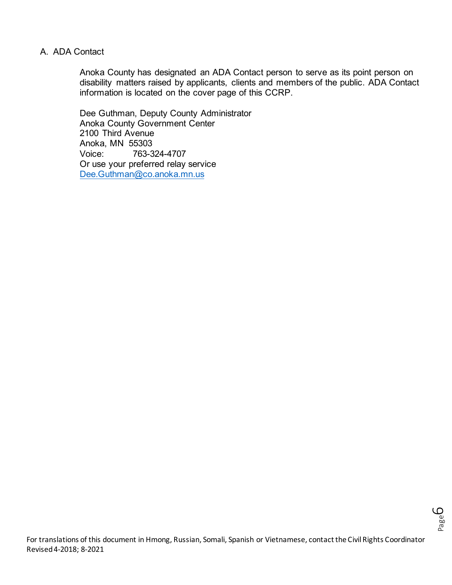#### A. ADA Contact

Anoka County has designated an ADA Contact person to serve as its point person on disability matters raised by applicants, clients and members of the public. ADA Contact information is located on the cover page of this CCRP.

Dee Guthman, Deputy County Administrator Anoka County Government Center 2100 Third Avenue Anoka, MN 55303 Voice: 763-324-4707 Or use your preferred relay service [Dee.Guthman@co.anoka.mn.us](mailto:Dee.Guthman@co.anoka.mn.us)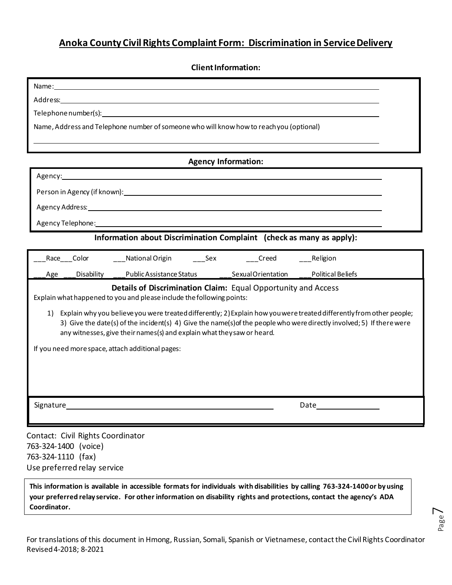#### **Anoka County Civil Rights Complaint Form: Discrimination in Service Delivery**

**Client Information:**

| Name: Name and the second contract of the second contract of the second contract of the second contract of the second contract of the second contract of the second contract of the second contract of the second contract of |  |  |  |  |  |  |
|-------------------------------------------------------------------------------------------------------------------------------------------------------------------------------------------------------------------------------|--|--|--|--|--|--|
|                                                                                                                                                                                                                               |  |  |  |  |  |  |
|                                                                                                                                                                                                                               |  |  |  |  |  |  |
| Name, Address and Telephone number of someone who will know how to reach you (optional)                                                                                                                                       |  |  |  |  |  |  |
|                                                                                                                                                                                                                               |  |  |  |  |  |  |
|                                                                                                                                                                                                                               |  |  |  |  |  |  |
| <b>Agency Information:</b>                                                                                                                                                                                                    |  |  |  |  |  |  |
| Agency: Agency: Agency: Agency: Agency: Agency: Agency: Agency: Agency: Agency: Agency: Agency: Agency: Agency                                                                                                                |  |  |  |  |  |  |
|                                                                                                                                                                                                                               |  |  |  |  |  |  |
| Agency Address:                                                                                                                                                                                                               |  |  |  |  |  |  |

Agency Telephone:

**Information about Discrimination Complaint (check as many as apply):**

| Race                                                                                                                                                                                                                                                                 | Color      | National Origin          | Sex | Creed              | _Religion                |  |  |
|----------------------------------------------------------------------------------------------------------------------------------------------------------------------------------------------------------------------------------------------------------------------|------------|--------------------------|-----|--------------------|--------------------------|--|--|
| Age                                                                                                                                                                                                                                                                  | Disability | Public Assistance Status |     | Sexual Orientation | <b>Political Beliefs</b> |  |  |
| Details of Discrimination Claim: Equal Opportunity and Access<br>Explain what happened to you and please include the following points:<br>Explain why you believe you were treated differently; 2) Explain how you were treated differently from other people;<br>1) |            |                          |     |                    |                          |  |  |
| 3) Give the date(s) of the incident(s) 4) Give the name(s) of the people who were directly involved; 5) If there were<br>any witnesses, give their names(s) and explain what they saw or heard.                                                                      |            |                          |     |                    |                          |  |  |
| If you need more space, attach additional pages:                                                                                                                                                                                                                     |            |                          |     |                    |                          |  |  |
|                                                                                                                                                                                                                                                                      |            |                          |     |                    |                          |  |  |
|                                                                                                                                                                                                                                                                      |            |                          |     |                    |                          |  |  |
| Signature                                                                                                                                                                                                                                                            |            |                          |     |                    | Date                     |  |  |
|                                                                                                                                                                                                                                                                      |            |                          |     |                    |                          |  |  |
| Contact: Civil Rights Coordinator                                                                                                                                                                                                                                    |            |                          |     |                    |                          |  |  |

763-324-1400 (voice) 763-324-1110 (fax) Use preferred relay service

**This information is available in accessible formats for individuals with disabilities by calling 763-324-1400or by using your preferred relay service. For other information on disability rights and protections, contact the agency's ADA Coordinator.**

Page  $\blacktriangleright$ 

For translations of this document in Hmong, Russian, Somali, Spanish or Vietnamese, contact the Civil Rights Coordinator Revised 4-2018; 8-2021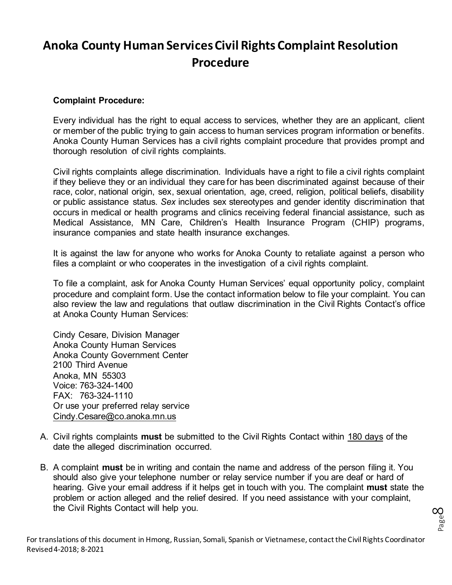## **Anoka County Human Services Civil Rights Complaint Resolution Procedure**

#### **Complaint Procedure:**

Every individual has the right to equal access to services, whether they are an applicant, client or member of the public trying to gain access to human services program information or benefits. Anoka County Human Services has a civil rights complaint procedure that provides prompt and thorough resolution of civil rights complaints.

Civil rights complaints allege discrimination. Individuals have a right to file a civil rights complaint if they believe they or an individual they care for has been discriminated against because of their race, color, national origin, sex, sexual orientation, age, creed, religion, political beliefs, disability or public assistance status. *Sex* includes sex stereotypes and gender identity discrimination that occurs in medical or health programs and clinics receiving federal financial assistance, such as Medical Assistance, MN Care, Children's Health Insurance Program (CHIP) programs, insurance companies and state health insurance exchanges.

It is against the law for anyone who works for Anoka County to retaliate against a person who files a complaint or who cooperates in the investigation of a civil rights complaint.

To file a complaint, ask for Anoka County Human Services' equal opportunity policy, complaint procedure and complaint form. Use the contact information below to file your complaint. You can also review the law and regulations that outlaw discrimination in the Civil Rights Contact's office at Anoka County Human Services:

Cindy Cesare, Division Manager Anoka County Human Services Anoka County Government Center 2100 Third Avenue Anoka, MN 55303 Voice: 763-324-1400 FAX: 763-324-1110 Or use your preferred relay service [Cindy.Cesare@co.anoka.mn.us](mailto:Cindy.Cesare@co.anoka.mn.us)

- A. Civil rights complaints **must** be submitted to the Civil Rights Contact within 180 days of the date the alleged discrimination occurred.
- B. A complaint **must** be in writing and contain the name and address of the person filing it. You should also give your telephone number or relay service number if you are deaf or hard of hearing. Give your email address if it helps get in touch with you. The complaint **must** state the problem or action alleged and the relief desired. If you need assistance with your complaint, the Civil Rights Contact will help you.

Page  $\infty$